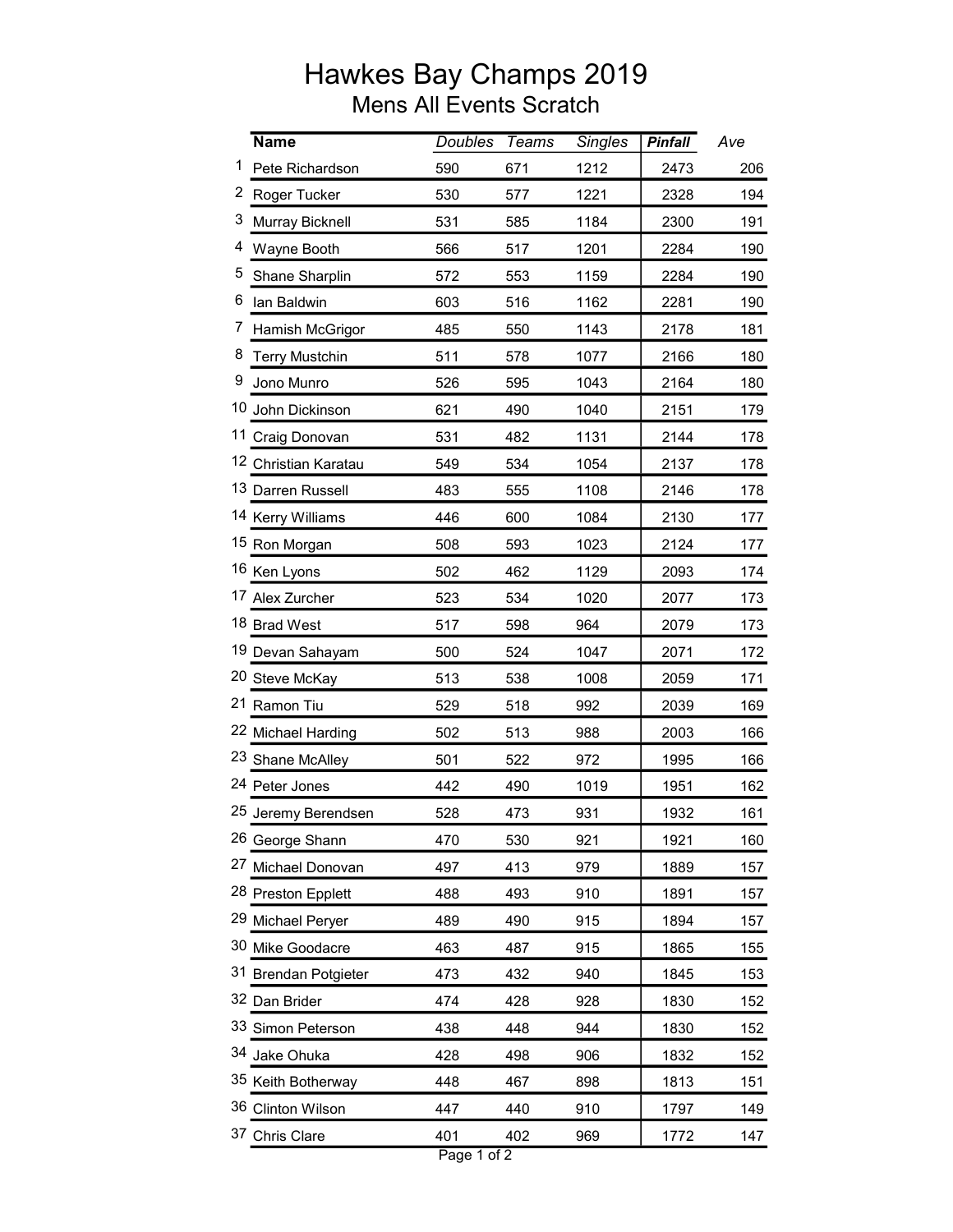## Hawkes Bay Champs 2019 Mens All Events Scratch

|   | <b>Name</b>           | <b>Doubles</b> | <b>Teams</b> | <b>Singles</b> | <b>Pinfall</b> | Ave |
|---|-----------------------|----------------|--------------|----------------|----------------|-----|
| 1 | Pete Richardson       | 590            | 671          | 1212           | 2473           | 206 |
|   | 2 Roger Tucker        | 530            | 577          | 1221           | 2328           | 194 |
| 3 | Murray Bicknell       | 531            | 585          | 1184           | 2300           | 191 |
| 4 | Wayne Booth           | 566            | 517          | 1201           | 2284           | 190 |
| 5 | Shane Sharplin        | 572            | 553          | 1159           | 2284           | 190 |
| 6 | lan Baldwin           | 603            | 516          | 1162           | 2281           | 190 |
| 7 | Hamish McGrigor       | 485            | 550          | 1143           | 2178           | 181 |
| 8 | <b>Terry Mustchin</b> | 511            | 578          | 1077           | 2166           | 180 |
| 9 | Jono Munro            | 526            | 595          | 1043           | 2164           | 180 |
|   | 10 John Dickinson     | 621            | 490          | 1040           | 2151           | 179 |
|   | 11 Craig Donovan      | 531            | 482          | 1131           | 2144           | 178 |
|   | 12 Christian Karatau  | 549            | 534          | 1054           | 2137           | 178 |
|   | 13 Darren Russell     | 483            | 555          | 1108           | 2146           | 178 |
|   | 14 Kerry Williams     | 446            | 600          | 1084           | 2130           | 177 |
|   | 15 Ron Morgan         | 508            | 593          | 1023           | 2124           | 177 |
|   | 16 Ken Lyons          | 502            | 462          | 1129           | 2093           | 174 |
|   | 17 Alex Zurcher       | 523            | 534          | 1020           | 2077           | 173 |
|   | 18 Brad West          | 517            | 598          | 964            | 2079           | 173 |
|   | 19 Devan Sahayam      | 500            | 524          | 1047           | 2071           | 172 |
|   | 20 Steve McKay        | 513            | 538          | 1008           | 2059           | 171 |
|   | 21 Ramon Tiu          | 529            | 518          | 992            | 2039           | 169 |
|   | 22 Michael Harding    | 502            | 513          | 988            | 2003           | 166 |
|   | 23 Shane McAlley      | 501            | 522          | 972            | 1995           | 166 |
|   | 24 Peter Jones        | 442            | 490          | 1019           | 1951           | 162 |
|   | 25 Jeremy Berendsen   | 528            | 473          | 931            | 1932           | 161 |
|   | 26 George Shann       | 470            | 530          | 921            | 1921           | 160 |
|   | 27 Michael Donovan    | 497            | 413          | 979            | 1889           | 157 |
|   | 28 Preston Epplett    | 488            | 493          | 910            | 1891           | 157 |
|   | 29 Michael Peryer     | 489            | 490          | 915            | 1894           | 157 |
|   | 30 Mike Goodacre      | 463            | 487          | 915            | 1865           | 155 |
|   | 31 Brendan Potgieter  | 473            | 432          | 940            | 1845           | 153 |
|   | 32 Dan Brider         | 474            | 428          | 928            | 1830           | 152 |
|   | 33 Simon Peterson     | 438            | 448          | 944            | 1830           | 152 |
|   | 34 Jake Ohuka         | 428            | 498          | 906            | 1832           | 152 |
|   | 35 Keith Botherway    | 448            | 467          | 898            | 1813           | 151 |
|   | 36 Clinton Wilson     | 447            | 440          | 910            | 1797           | 149 |
|   | 37 Chris Clare        | 401            | 402          | 969            | 1772           | 147 |
|   |                       |                |              |                |                |     |